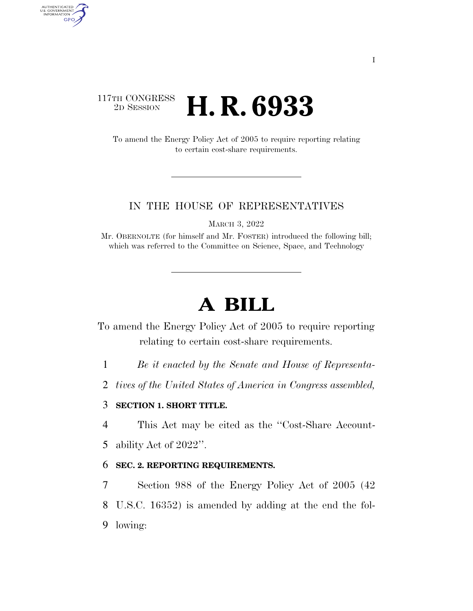# 117TH CONGRESS <sup>2D SESSION</sup> **H. R. 6933**

AUTHENTICATED<br>U.S. GOVERNMENT<br>INFORMATION

**GPO** 

To amend the Energy Policy Act of 2005 to require reporting relating to certain cost-share requirements.

### IN THE HOUSE OF REPRESENTATIVES

MARCH 3, 2022

Mr. OBERNOLTE (for himself and Mr. FOSTER) introduced the following bill; which was referred to the Committee on Science, Space, and Technology

# **A BILL**

To amend the Energy Policy Act of 2005 to require reporting relating to certain cost-share requirements.

1 *Be it enacted by the Senate and House of Representa-*

2 *tives of the United States of America in Congress assembled,* 

## 3 **SECTION 1. SHORT TITLE.**

4 This Act may be cited as the ''Cost-Share Account-

5 ability Act of 2022''.

### 6 **SEC. 2. REPORTING REQUIREMENTS.**

7 Section 988 of the Energy Policy Act of 2005 (42 8 U.S.C. 16352) is amended by adding at the end the fol-9 lowing: